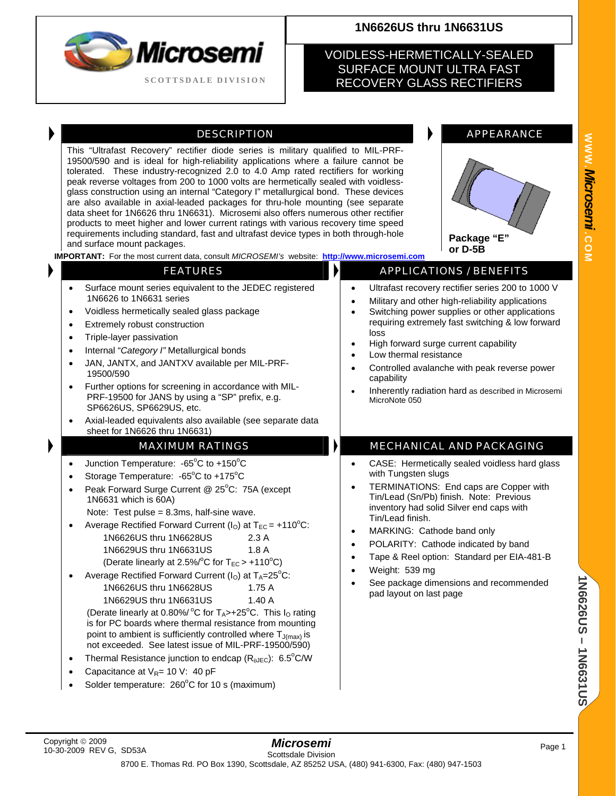

#### **1N6626US thru 1N6631US**

#### VOIDLESS-HERMETICALLY-SEALED SURFACE MOUNT ULTRA FAST RECOVERY GLASS RECTIFIERS

#### DESCRIPTION DESCRIPTION

This "Ultrafast Recovery" rectifier diode series is military qualified to MIL-PRF-19500/590 and is ideal for high-reliability applications where a failure cannot be tolerated. These industry-recognized 2.0 to 4.0 Amp rated rectifiers for working peak reverse voltages from 200 to 1000 volts are hermetically sealed with voidlessglass construction using an internal "Category I" metallurgical bond. These devices are also available in axial-leaded packages for thru-hole mounting (see separate data sheet for 1N6626 thru 1N6631). Microsemi also offers numerous other rectifier products to meet higher and lower current ratings with various recovery time speed requirements including standard, fast and ultrafast device types in both through-hole and surface mount packages.

# **Package "E" or D-5B**

**IMPORTANT:** For the most current data, consult *MICROSEMI's* website: **[http://www.microsemi.com](http://www.microsemi.com/)**

| <b>FEATURES</b>                                                                                                                                                                                                                                                                                                                                                                                                                                                                                                                                                                                                                                                                                                                                                                                                                                                                                                                                                                                                                                  | $\blacktriangleright$<br><b>APPLICATIONS / BENEFITS</b>                                                                                                                                                                                                                                                                                                                                                                                                                                              |
|--------------------------------------------------------------------------------------------------------------------------------------------------------------------------------------------------------------------------------------------------------------------------------------------------------------------------------------------------------------------------------------------------------------------------------------------------------------------------------------------------------------------------------------------------------------------------------------------------------------------------------------------------------------------------------------------------------------------------------------------------------------------------------------------------------------------------------------------------------------------------------------------------------------------------------------------------------------------------------------------------------------------------------------------------|------------------------------------------------------------------------------------------------------------------------------------------------------------------------------------------------------------------------------------------------------------------------------------------------------------------------------------------------------------------------------------------------------------------------------------------------------------------------------------------------------|
| Surface mount series equivalent to the JEDEC registered<br>1N6626 to 1N6631 series<br>Voidless hermetically sealed glass package<br>$\bullet$<br>Extremely robust construction<br>$\bullet$<br>Triple-layer passivation<br>$\bullet$<br>Internal "Category I" Metallurgical bonds<br>$\bullet$<br>JAN, JANTX, and JANTXV available per MIL-PRF-<br>$\bullet$<br>19500/590<br>Further options for screening in accordance with MIL-<br>PRF-19500 for JANS by using a "SP" prefix, e.g.<br>SP6626US, SP6629US, etc.<br>Axial-leaded equivalents also available (see separate data                                                                                                                                                                                                                                                                                                                                                                                                                                                                  | Ultrafast recovery rectifier series 200 to 1000 V<br>$\bullet$<br>Military and other high-reliability applications<br>Switching power supplies or other applications<br>requiring extremely fast switching & low forward<br>loss<br>High forward surge current capability<br>$\bullet$<br>Low thermal resistance<br>Controlled avalanche with peak reverse power<br>$\bullet$<br>capability<br>Inherently radiation hard as described in Microsemi<br>MicroNote 050                                  |
| sheet for 1N6626 thru 1N6631)<br><b>MAXIMUM RATINGS</b>                                                                                                                                                                                                                                                                                                                                                                                                                                                                                                                                                                                                                                                                                                                                                                                                                                                                                                                                                                                          | <b>MECHANICAL AND PACKAGING</b>                                                                                                                                                                                                                                                                                                                                                                                                                                                                      |
| Junction Temperature: -65°C to +150°C<br>$\bullet$<br>Storage Temperature: -65°C to +175°C<br>$\bullet$<br>Peak Forward Surge Current @ 25°C: 75A (except<br>$\bullet$<br>1N6631 which is 60A)<br>Note: Test pulse = $8.3$ ms, half-sine wave.<br>Average Rectified Forward Current ( $IO$ ) at T <sub>EC</sub> = +110 <sup>°</sup> C:<br>1N6626US thru 1N6628US<br>2.3A<br>1.8A<br>1N6629US thru 1N6631US<br>(Derate linearly at 2.5%/°C for $T_{EC}$ > +110°C)<br>Average Rectified Forward Current ( $IO$ ) at T <sub>A</sub> =25 <sup>°</sup> C:<br>1N6626US thru 1N6628US<br>1.75A<br>1N6629US thru 1N6631US<br>1.40A<br>(Derate linearly at 0.80%/ °C for T <sub>A</sub> >+25°C. This I <sub>O</sub> rating<br>is for PC boards where thermal resistance from mounting<br>point to ambient is sufficiently controlled where $T_{J(max)}$ is<br>not exceeded. See latest issue of MIL-PRF-19500/590)<br>Thermal Resistance junction to endcap ( $R_{\theta$ JEC): 6.5°C/W<br>$\bullet$<br>Capacitance at $V_{R}$ = 10 V: 40 pF<br>$\bullet$ | CASE: Hermetically sealed voidless hard glass<br>$\bullet$<br>with Tungsten slugs<br>TERMINATIONS: End caps are Copper with<br>$\bullet$<br>Tin/Lead (Sn/Pb) finish. Note: Previous<br>inventory had solid Silver end caps with<br>Tin/Lead finish.<br>MARKING: Cathode band only<br>$\bullet$<br>POLARITY: Cathode indicated by band<br>$\bullet$<br>Tape & Reel option: Standard per EIA-481-B<br>$\bullet$<br>Weight: 539 mg<br>See package dimensions and recommended<br>pad layout on last page |
| Solder temperature: 260°C for 10 s (maximum)                                                                                                                                                                                                                                                                                                                                                                                                                                                                                                                                                                                                                                                                                                                                                                                                                                                                                                                                                                                                     |                                                                                                                                                                                                                                                                                                                                                                                                                                                                                                      |

**1N6626US – 1N6631US**

**IN626200531US**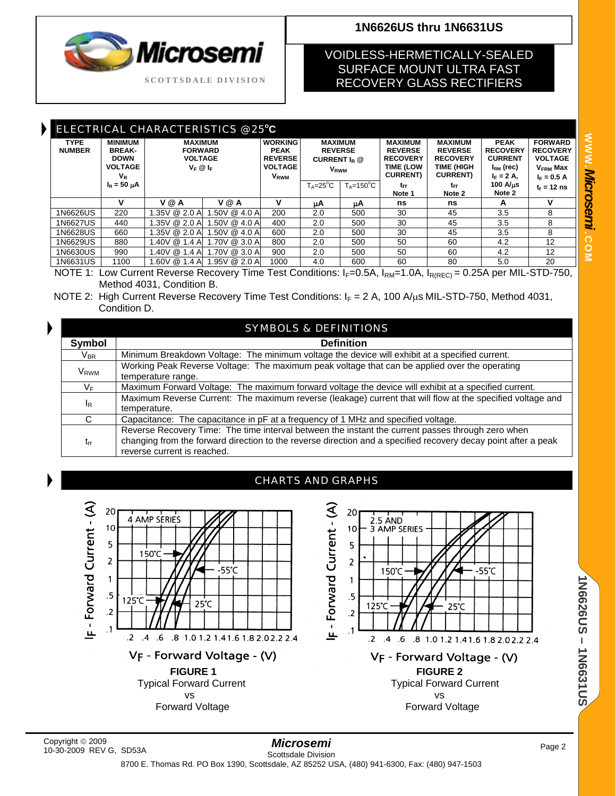# licrose **SCOTTSDALE DIVISION**

## **1N6626US thru 1N6631US**

#### VOIDLESS-HERMETICALLY-SEALED SURFACE MOUNT ULTRA FAST RECOVERY GLASS RECTIFIERS

| ELECTRICAL CHARACTERISTICS @ 25°C |                                                                                                                           |                                                                   |                 |                                                                                             |                                                                                        |                      |                                                                                             |                                                                                              |                                                                                         |                                                                                                    |
|-----------------------------------|---------------------------------------------------------------------------------------------------------------------------|-------------------------------------------------------------------|-----------------|---------------------------------------------------------------------------------------------|----------------------------------------------------------------------------------------|----------------------|---------------------------------------------------------------------------------------------|----------------------------------------------------------------------------------------------|-----------------------------------------------------------------------------------------|----------------------------------------------------------------------------------------------------|
| <b>TYPE</b><br><b>NUMBER</b>      | <b>MINIMUM</b><br><b>BREAK-</b><br><b>DOWN</b><br><b>VOLTAGE</b><br>$V_{R}$                                               | <b>MAXIMUM</b><br><b>FORWARD</b><br><b>VOLTAGE</b><br>$V_F @ I_F$ |                 | <b>WORKING</b><br><b>PEAK</b><br><b>REVERSE</b><br><b>VOLTAGE</b><br><b>V<sub>RWM</sub></b> | <b>MAXIMUM</b><br><b>REVERSE</b><br>CURRENT I <sub>p</sub> @<br><b>V<sub>RWM</sub></b> |                      | <b>MAXIMUM</b><br><b>REVERSE</b><br><b>RECOVERY</b><br><b>TIME (LOW</b><br><b>CURRENT</b> ) | <b>MAXIMUM</b><br><b>REVERSE</b><br><b>RECOVERY</b><br><b>TIME (HIGH</b><br><b>CURRENT</b> ) | <b>PEAK</b><br><b>RECOVERY</b><br><b>CURRENT</b><br>$I_{\rm RM}$ (rec)<br>$I_F = 2 A$ , | <b>FORWARD</b><br><b>RECOVERY</b><br><b>VOLTAGE</b><br><b>V<sub>FRM</sub></b> Max<br>$I_F = 0.5 A$ |
|                                   | $I_R = 50 \mu A$                                                                                                          |                                                                   |                 |                                                                                             | $T_A = 25^\circ C$                                                                     | $T_A = 150^{\circ}C$ | trr<br>Note 1                                                                               | trr<br>Note 2                                                                                | <b>100 A/us</b><br>Note 2                                                               | $t_r = 12$ ns                                                                                      |
|                                   | v                                                                                                                         | V @ A                                                             | V @ A           | v                                                                                           | μA                                                                                     | μA                   | ns                                                                                          | ns                                                                                           | А                                                                                       | v                                                                                                  |
| 1N6626US                          | 220                                                                                                                       | 1.35V @ 2.0 Al                                                    | $.50V \& 4.0 A$ | 200                                                                                         | 2.0                                                                                    | 500                  | 30                                                                                          | 45                                                                                           | 3.5                                                                                     | 8                                                                                                  |
| 1N6627US                          | 440                                                                                                                       | 1.35V @ 2.0 A                                                     | 1.50V @ 4.0 A   | 400                                                                                         | 2.0                                                                                    | 500                  | 30                                                                                          | 45                                                                                           | 3.5                                                                                     | 8                                                                                                  |
| 1N6628US                          | 660                                                                                                                       | 1.35V @ 2.0 A                                                     | 1.50V @ 4.0 A   | 600                                                                                         | 2.0                                                                                    | 500                  | 30                                                                                          | 45                                                                                           | 3.5                                                                                     | 8                                                                                                  |
| 1N6629US                          | 880                                                                                                                       | 1.40V @ 1.4 A                                                     | 1.70V @ 3.0 A   | 800                                                                                         | 2.0                                                                                    | 500                  | 50                                                                                          | 60                                                                                           | 4.2                                                                                     | 12                                                                                                 |
| 1N6630US                          | 990                                                                                                                       | 1.40V @ 1.4 A                                                     | 1.70V @ 3.0 A   | 900                                                                                         | 2.0                                                                                    | 500                  | 50                                                                                          | 60                                                                                           | 4.2                                                                                     | 12                                                                                                 |
| 1N6631US                          | 1100                                                                                                                      | 1.60V @ 1.4 A                                                     | 1.95V @ 2.0 A   | 1000                                                                                        | 4.0                                                                                    | 600                  | 60                                                                                          | 80                                                                                           | 5.0                                                                                     | 20                                                                                                 |
|                                   | NOTE 1: Low Current Reverse Recovery Time Test Conditions: L-0 5 A<br>$-$ 0.250 nor MIL - STD-750<br>$-1$ $\cap$ $\wedge$ |                                                                   |                 |                                                                                             |                                                                                        |                      |                                                                                             |                                                                                              |                                                                                         |                                                                                                    |

Conditions: I<sub>F</sub>=0.5A, I<sub>RM</sub>=1.0A, I<sub>R(REC)</sub> = 0.25A per Method 4031, Condition B.

NOTE 2: High Current Reverse Recovery Time Test Conditions:  $I_F = 2 A$ , 100 A/ $\mu$ s MIL-STD-750, Method 4031, Condition D.

| <b>SYMBOLS &amp; DEFINITIONS</b> |                                                                                                                                                                                                                                                    |  |
|----------------------------------|----------------------------------------------------------------------------------------------------------------------------------------------------------------------------------------------------------------------------------------------------|--|
| Symbol                           | <b>Definition</b>                                                                                                                                                                                                                                  |  |
| $V_{BR}$                         | Minimum Breakdown Voltage: The minimum voltage the device will exhibit at a specified current.                                                                                                                                                     |  |
| <b>V<sub>RWM</sub></b>           | Working Peak Reverse Voltage: The maximum peak voltage that can be applied over the operating<br>temperature range.                                                                                                                                |  |
| $V_F$                            | Maximum Forward Voltage: The maximum forward voltage the device will exhibit at a specified current.                                                                                                                                               |  |
| $I_R$                            | Maximum Reverse Current: The maximum reverse (leakage) current that will flow at the specified voltage and<br>temperature.                                                                                                                         |  |
| C                                | Capacitance: The capacitance in pF at a frequency of 1 MHz and specified voltage.                                                                                                                                                                  |  |
| $t_{rr}$                         | Reverse Recovery Time: The time interval between the instant the current passes through zero when<br>changing from the forward direction to the reverse direction and a specified recovery decay point after a peak<br>reverse current is reached. |  |





10-30-2009 REV G, SD53A

**1N6626US – 1N6631US**

**IN6020020112003103**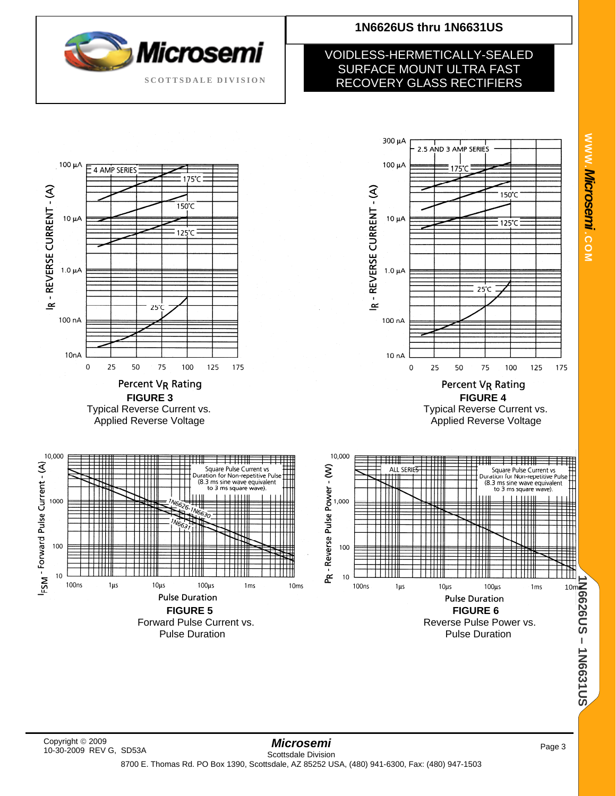![](_page_2_Picture_0.jpeg)

#### VOIDLESS-HERMETICALLY-SEALED SURFACE MOUNT ULTRA FAST RECOVERY GLASS RECTIFIERS

![](_page_2_Figure_3.jpeg)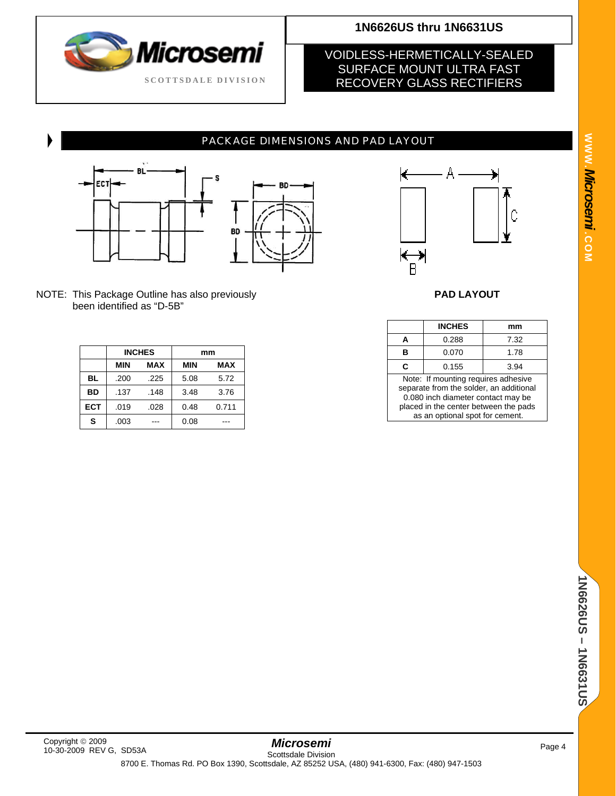![](_page_3_Picture_0.jpeg)

#### VOIDLESS-HERMETICALLY-SEALED SURFACE MOUNT ULTRA FAST RECOVERY GLASS RECTIFIERS

#### PACKAGE DIMENSIONS AND PAD LAYOUT

![](_page_3_Figure_5.jpeg)

![](_page_3_Figure_6.jpeg)

NOTE: This Package Outline has also previously **PAD LAYOUT**  been identified as "D-5B"

|            |            | <b>INCHES</b> | mm         |            |  |
|------------|------------|---------------|------------|------------|--|
|            | <b>MIN</b> | <b>MAX</b>    | <b>MIN</b> | <b>MAX</b> |  |
| <b>BL</b>  | .200       | .225          | 5.08       | 5.72       |  |
| <b>BD</b>  | .137       | .148          | 3.48       | 3.76       |  |
| <b>ECT</b> | .019       | .028          | 0.48       | 0.711      |  |
| S          | .003       |               | 0.08       |            |  |

![](_page_3_Figure_9.jpeg)

|                                                                                                                                                                                                  | <b>INCHES</b> | mm   |  |  |  |
|--------------------------------------------------------------------------------------------------------------------------------------------------------------------------------------------------|---------------|------|--|--|--|
|                                                                                                                                                                                                  | 0.288         | 7.32 |  |  |  |
|                                                                                                                                                                                                  | 0.070         | 1.78 |  |  |  |
| C                                                                                                                                                                                                | 0.155         | 3.94 |  |  |  |
| Note: If mounting requires adhesive<br>separate from the solder, an additional<br>0.080 inch diameter contact may be<br>placed in the center between the pads<br>as an optional spot for cement. |               |      |  |  |  |